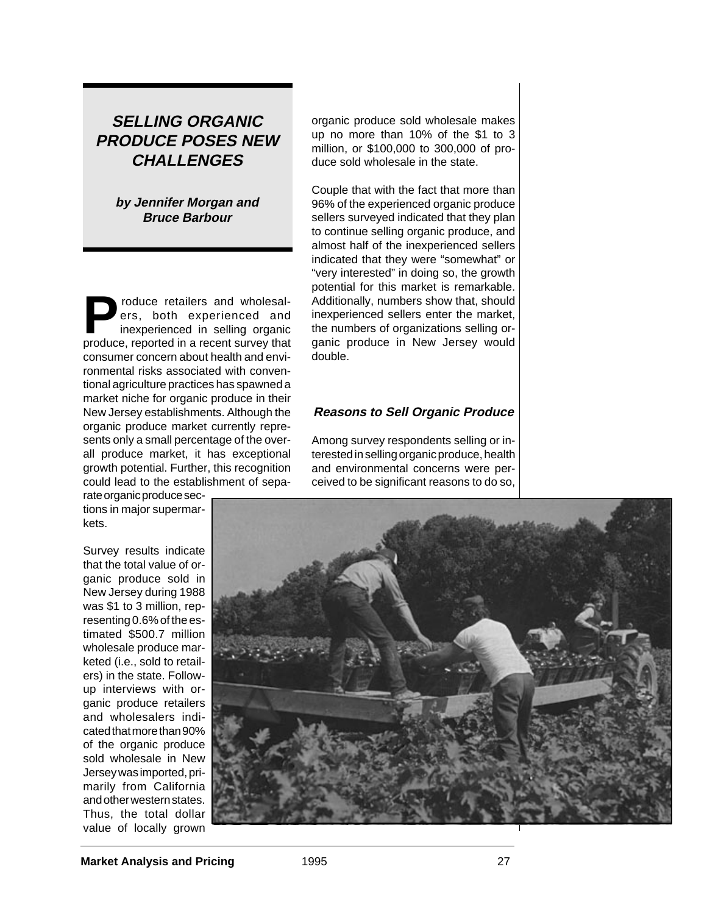# **SELLING ORGANIC PRODUCE POSES NEW CHALLENGES**

**by Jennifer Morgan and Bruce Barbour**

**P**roduce retailers and wholesalers, both experienced and<br>inexperienced in selling organic<br>produce reported in a record survoy that ers, both experienced and inexperienced in selling organic produce, reported in a recent survey that consumer concern about health and environmental risks associated with conventional agriculture practices has spawned a market niche for organic produce in their New Jersey establishments. Although the organic produce market currently represents only a small percentage of the overall produce market, it has exceptional growth potential. Further, this recognition could lead to the establishment of sepa-

rate organic produce sections in major supermarkets.

Survey results indicate that the total value of organic produce sold in New Jersey during 1988 was \$1 to 3 million, representing 0.6% of the estimated \$500.7 million wholesale produce marketed (i.e., sold to retailers) in the state. Followup interviews with organic produce retailers and wholesalers indicated that more than 90% of the organic produce sold wholesale in New Jersey was imported, primarily from California and other western states. Thus, the total dollar value of locally grown organic produce sold wholesale makes up no more than 10% of the \$1 to 3 million, or \$100,000 to 300,000 of produce sold wholesale in the state.

Couple that with the fact that more than 96% of the experienced organic produce sellers surveyed indicated that they plan to continue selling organic produce, and almost half of the inexperienced sellers indicated that they were "somewhat" or "very interested" in doing so, the growth potential for this market is remarkable. Additionally, numbers show that, should inexperienced sellers enter the market, the numbers of organizations selling organic produce in New Jersey would double.

## **Reasons to Sell Organic Produce**

Among survey respondents selling or interested in selling organic produce, health and environmental concerns were perceived to be significant reasons to do so,

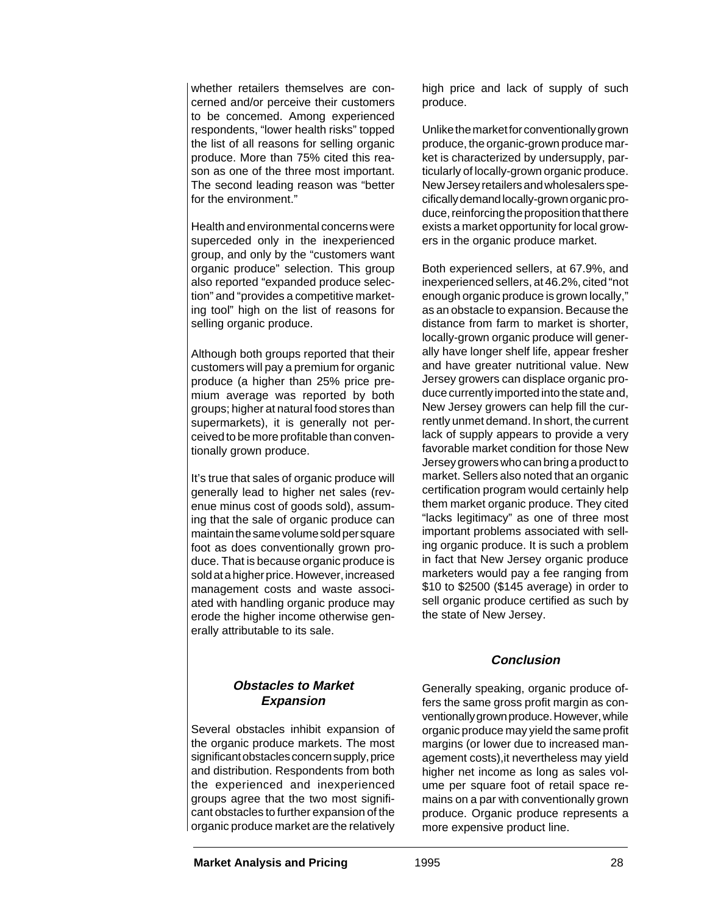whether retailers themselves are concerned and/or perceive their customers to be concemed. Among experienced respondents, "lower health risks" topped the list of all reasons for selling organic produce. More than 75% cited this reason as one of the three most important. The second leading reason was "better for the environment."

Health and environmental concerns were superceded only in the inexperienced group, and only by the "customers want organic produce" selection. This group also reported "expanded produce selection" and "provides a competitive marketing tool" high on the list of reasons for selling organic produce.

Although both groups reported that their customers will pay a premium for organic produce (a higher than 25% price premium average was reported by both groups; higher at natural food stores than supermarkets), it is generally not perceived to be more profitable than conventionally grown produce.

It's true that sales of organic produce will generally lead to higher net sales (revenue minus cost of goods sold), assuming that the sale of organic produce can maintain the same volume sold per square foot as does conventionally grown produce. That is because organic produce is sold at a higher price. However, increased management costs and waste associated with handling organic produce may erode the higher income otherwise generally attributable to its sale.

#### **Obstacles to Market Expansion**

Several obstacles inhibit expansion of the organic produce markets. The most significant obstacles concern supply, price and distribution. Respondents from both the experienced and inexperienced groups agree that the two most significant obstacles to further expansion of the organic produce market are the relatively

high price and lack of supply of such produce.

Unlike the market for conventionally grown produce, the organic-grown produce market is characterized by undersupply, particularly of locally-grown organic produce. New Jersey retailers and wholesalers specifically demand locally-grown organic produce, reinforcing the proposition that there exists a market opportunity for local growers in the organic produce market.

Both experienced sellers, at 67.9%, and inexperienced sellers, at 46.2%, cited "not enough organic produce is grown locally," as an obstacle to expansion. Because the distance from farm to market is shorter, locally-grown organic produce will generally have longer shelf life, appear fresher and have greater nutritional value. New Jersey growers can displace organic produce currently imported into the state and, New Jersey growers can help fill the currently unmet demand. In short, the current lack of supply appears to provide a very favorable market condition for those New Jersey growers who can bring a product to market. Sellers also noted that an organic certification program would certainly help them market organic produce. They cited "lacks legitimacy" as one of three most important problems associated with selling organic produce. It is such a problem in fact that New Jersey organic produce marketers would pay a fee ranging from \$10 to \$2500 (\$145 average) in order to sell organic produce certified as such by the state of New Jersey.

## **Conclusion**

Generally speaking, organic produce offers the same gross profit margin as conventionally grown produce. However, while organic produce may yield the same profit margins (or lower due to increased management costs),it nevertheless may yield higher net income as long as sales volume per square foot of retail space remains on a par with conventionally grown produce. Organic produce represents a more expensive product line.